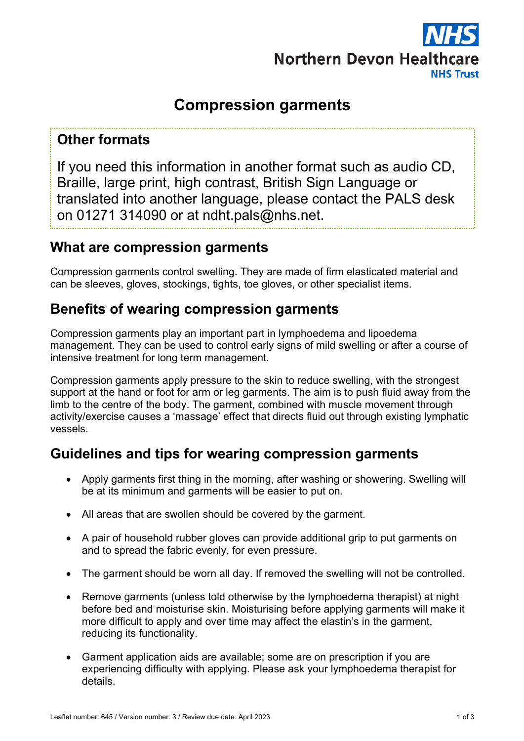

# **Compression garments**

### **Other formats**

If you need this information in another format such as audio CD, Braille, large print, high contrast, British Sign Language or translated into another language, please contact the PALS desk on 01271 314090 or at ndht.pals@nhs.net.

### **What are compression garments**

Compression garments control swelling. They are made of firm elasticated material and can be sleeves, gloves, stockings, tights, toe gloves, or other specialist items.

# **Benefits of wearing compression garments**

Compression garments play an important part in lymphoedema and lipoedema management. They can be used to control early signs of mild swelling or after a course of intensive treatment for long term management.

Compression garments apply pressure to the skin to reduce swelling, with the strongest support at the hand or foot for arm or leg garments. The aim is to push fluid away from the limb to the centre of the body. The garment, combined with muscle movement through activity/exercise causes a 'massage' effect that directs fluid out through existing lymphatic vessels.

## **Guidelines and tips for wearing compression garments**

- Apply garments first thing in the morning, after washing or showering. Swelling will be at its minimum and garments will be easier to put on.
- All areas that are swollen should be covered by the garment.
- A pair of household rubber gloves can provide additional grip to put garments on and to spread the fabric evenly, for even pressure.
- The garment should be worn all day. If removed the swelling will not be controlled.
- Remove garments (unless told otherwise by the lymphoedema therapist) at night before bed and moisturise skin. Moisturising before applying garments will make it more difficult to apply and over time may affect the elastin's in the garment, reducing its functionality.
- Garment application aids are available; some are on prescription if you are experiencing difficulty with applying. Please ask your lymphoedema therapist for details.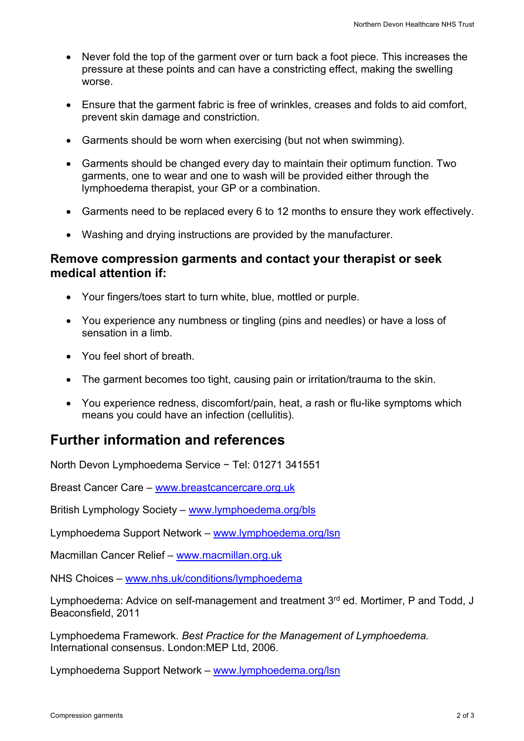- Never fold the top of the garment over or turn back a foot piece. This increases the pressure at these points and can have a constricting effect, making the swelling worse.
- Ensure that the garment fabric is free of wrinkles, creases and folds to aid comfort, prevent skin damage and constriction.
- Garments should be worn when exercising (but not when swimming).
- Garments should be changed every day to maintain their optimum function. Two garments, one to wear and one to wash will be provided either through the lymphoedema therapist, your GP or a combination.
- Garments need to be replaced every 6 to 12 months to ensure they work effectively.
- Washing and drying instructions are provided by the manufacturer.

#### **Remove compression garments and contact your therapist or seek medical attention if:**

- Your fingers/toes start to turn white, blue, mottled or purple.
- You experience any numbness or tingling (pins and needles) or have a loss of sensation in a limb.
- You feel short of breath.
- The garment becomes too tight, causing pain or irritation/trauma to the skin.
- You experience redness, discomfort/pain, heat, a rash or flu-like symptoms which means you could have an infection (cellulitis).

### **Further information and references**

North Devon Lymphoedema Service − Tel: 01271 341551

Breast Cancer Care – www.breastcancercare.org.uk

British Lymphology Society – www.lymphoedema.org/bls

Lymphoedema Support Network – www.lymphoedema.org/lsn

Macmillan Cancer Relief – www.macmillan.org.uk

NHS Choices – www.nhs.uk/conditions/lymphoedema

Lymphoedema: Advice on self-management and treatment 3<sup>rd</sup> ed. Mortimer, P and Todd, J Beaconsfield, 2011

Lymphoedema Framework. *Best Practice for the Management of Lymphoedema.* International consensus. London:MEP Ltd, 2006.

Lymphoedema Support Network – www.lymphoedema.org/lsn